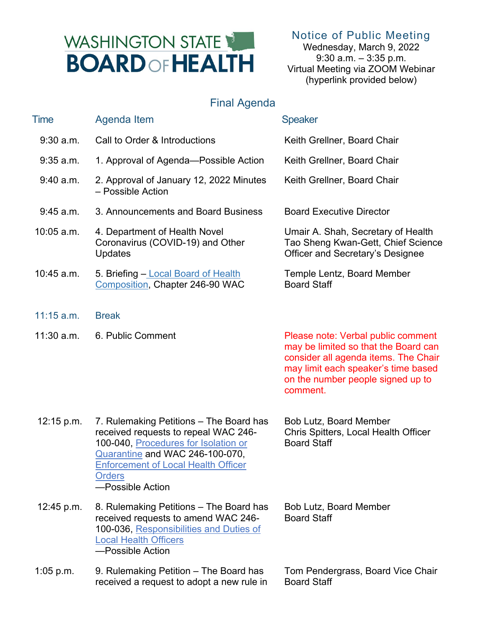## WASHINGTON STATE **BOARD OF HEALTH**

Notice of Public Meeting

Wednesday, March 9, 2022 9:30 a.m. – 3:35 p.m. Virtual Meeting via ZOOM Webinar (hyperlink provided below)

## Final Agenda

| Time         | <b>Agenda Item</b>                                                                                                                                                                                                                            | <b>Speaker</b>                                                                                                                                                                                             |
|--------------|-----------------------------------------------------------------------------------------------------------------------------------------------------------------------------------------------------------------------------------------------|------------------------------------------------------------------------------------------------------------------------------------------------------------------------------------------------------------|
| $9:30$ a.m.  | Call to Order & Introductions                                                                                                                                                                                                                 | Keith Grellner, Board Chair                                                                                                                                                                                |
| $9:35$ a.m.  | 1. Approval of Agenda-Possible Action                                                                                                                                                                                                         | Keith Grellner, Board Chair                                                                                                                                                                                |
| 9:40 a.m.    | 2. Approval of January 12, 2022 Minutes<br>- Possible Action                                                                                                                                                                                  | Keith Grellner, Board Chair                                                                                                                                                                                |
| 9:45 a.m.    | 3. Announcements and Board Business                                                                                                                                                                                                           | <b>Board Executive Director</b>                                                                                                                                                                            |
| $10:05$ a.m. | 4. Department of Health Novel<br>Coronavirus (COVID-19) and Other<br><b>Updates</b>                                                                                                                                                           | Umair A. Shah, Secretary of Health<br>Tao Sheng Kwan-Gett, Chief Science<br>Officer and Secretary's Designee                                                                                               |
| $10:45$ a.m. | 5. Briefing - Local Board of Health<br>Composition, Chapter 246-90 WAC                                                                                                                                                                        | Temple Lentz, Board Member<br><b>Board Staff</b>                                                                                                                                                           |
| $11:15$ a.m. | <b>Break</b>                                                                                                                                                                                                                                  |                                                                                                                                                                                                            |
| $11:30$ a.m. | 6. Public Comment                                                                                                                                                                                                                             | Please note: Verbal public comment<br>may be limited so that the Board can<br>consider all agenda items. The Chair<br>may limit each speaker's time based<br>on the number people signed up to<br>comment. |
| 12:15 p.m.   | 7. Rulemaking Petitions – The Board has<br>received requests to repeal WAC 246-<br>100-040, Procedures for Isolation or<br>Quarantine and WAC 246-100-070,<br><b>Enforcement of Local Health Officer</b><br><b>Orders</b><br>-Possible Action | Bob Lutz, Board Member<br>Chris Spitters, Local Health Officer<br><b>Board Staff</b>                                                                                                                       |
| 12:45 p.m.   | 8. Rulemaking Petitions – The Board has<br>received requests to amend WAC 246-<br>100-036, Responsibilities and Duties of<br><b>Local Health Officers</b><br>-Possible Action                                                                 | Bob Lutz, Board Member<br><b>Board Staff</b>                                                                                                                                                               |
| $1:05$ p.m.  | 9. Rulemaking Petition – The Board has<br>received a request to adopt a new rule in                                                                                                                                                           | Tom Pendergrass, Board Vice Chair<br><b>Board Staff</b>                                                                                                                                                    |